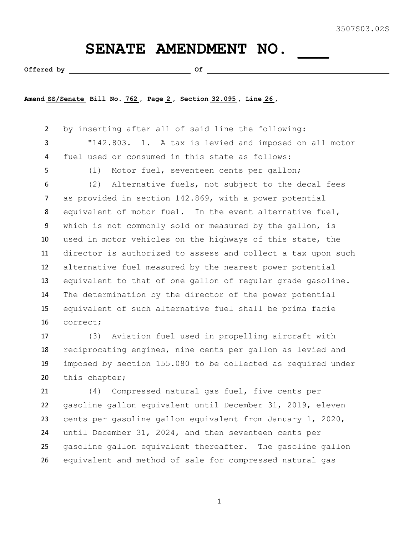## SENATE AMENDMENT NO.

**Offered by Of** 

**Amend SS/Senate Bill No. 762 , Page 2 , Section 32.095 , Line 26 ,** 

 by inserting after all of said line the following: "142.803. 1. A tax is levied and imposed on all motor fuel used or consumed in this state as follows: (1) Motor fuel, seventeen cents per gallon; (2) Alternative fuels, not subject to the decal fees as provided in section 142.869, with a power potential equivalent of motor fuel. In the event alternative fuel, which is not commonly sold or measured by the gallon, is used in motor vehicles on the highways of this state, the director is authorized to assess and collect a tax upon such alternative fuel measured by the nearest power potential equivalent to that of one gallon of regular grade gasoline. The determination by the director of the power potential equivalent of such alternative fuel shall be prima facie correct;

 (3) Aviation fuel used in propelling aircraft with reciprocating engines, nine cents per gallon as levied and imposed by section 155.080 to be collected as required under this chapter;

 (4) Compressed natural gas fuel, five cents per gasoline gallon equivalent until December 31, 2019, eleven cents per gasoline gallon equivalent from January 1, 2020, until December 31, 2024, and then seventeen cents per gasoline gallon equivalent thereafter. The gasoline gallon equivalent and method of sale for compressed natural gas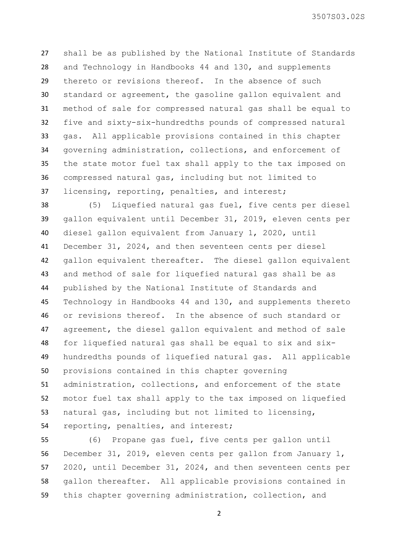3507S03.02S

 shall be as published by the National Institute of Standards and Technology in Handbooks 44 and 130, and supplements thereto or revisions thereof. In the absence of such standard or agreement, the gasoline gallon equivalent and method of sale for compressed natural gas shall be equal to five and sixty-six-hundredths pounds of compressed natural gas. All applicable provisions contained in this chapter governing administration, collections, and enforcement of the state motor fuel tax shall apply to the tax imposed on compressed natural gas, including but not limited to licensing, reporting, penalties, and interest;

 (5) Liquefied natural gas fuel, five cents per diesel gallon equivalent until December 31, 2019, eleven cents per diesel gallon equivalent from January 1, 2020, until December 31, 2024, and then seventeen cents per diesel gallon equivalent thereafter. The diesel gallon equivalent and method of sale for liquefied natural gas shall be as published by the National Institute of Standards and Technology in Handbooks 44 and 130, and supplements thereto or revisions thereof. In the absence of such standard or agreement, the diesel gallon equivalent and method of sale for liquefied natural gas shall be equal to six and six- hundredths pounds of liquefied natural gas. All applicable provisions contained in this chapter governing administration, collections, and enforcement of the state motor fuel tax shall apply to the tax imposed on liquefied natural gas, including but not limited to licensing, reporting, penalties, and interest;

 (6) Propane gas fuel, five cents per gallon until December 31, 2019, eleven cents per gallon from January 1, 2020, until December 31, 2024, and then seventeen cents per gallon thereafter. All applicable provisions contained in this chapter governing administration, collection, and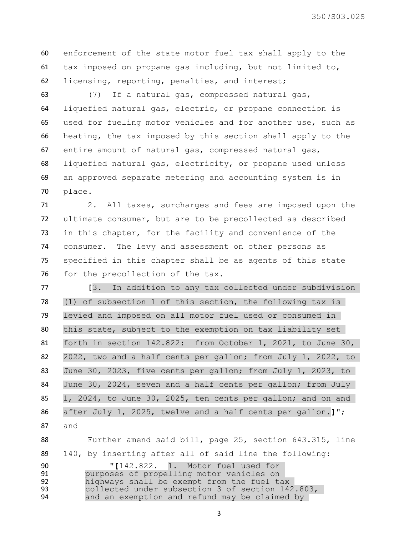3507S03.02S

 enforcement of the state motor fuel tax shall apply to the tax imposed on propane gas including, but not limited to, licensing, reporting, penalties, and interest;

 (7) If a natural gas, compressed natural gas, liquefied natural gas, electric, or propane connection is used for fueling motor vehicles and for another use, such as heating, the tax imposed by this section shall apply to the entire amount of natural gas, compressed natural gas, liquefied natural gas, electricity, or propane used unless an approved separate metering and accounting system is in place.

 2. All taxes, surcharges and fees are imposed upon the ultimate consumer, but are to be precollected as described in this chapter, for the facility and convenience of the consumer. The levy and assessment on other persons as specified in this chapter shall be as agents of this state 76 for the precollection of the tax.

 **[**3. In addition to any tax collected under subdivision (1) of subsection 1 of this section, the following tax is levied and imposed on all motor fuel used or consumed in this state, subject to the exemption on tax liability set 81 forth in section 142.822: from October 1, 2021, to June 30, 2022, two and a half cents per gallon; from July 1, 2022, to June 30, 2023, five cents per gallon; from July 1, 2023, to 84 June 30, 2024, seven and a half cents per gallon; from July 1, 2024, to June 30, 2025, ten cents per gallon; and on and after July 1, 2025, twelve and a half cents per gallon.**]"**; and

 Further amend said bill, page 25, section 643.315, line 140, by inserting after all of said line the following:

 **"[**142.822. 1. Motor fuel used for 91 **purposes of propelling motor vehicles on**<br>92 **highways shall be exempt from the fuel ta** 92 highways shall be exempt from the fuel tax<br>93 collected under subsection 3 of section 142 93 collected under subsection 3 of section 142.803,<br>94 and an exemption and refund may be claimed by and an exemption and refund may be claimed by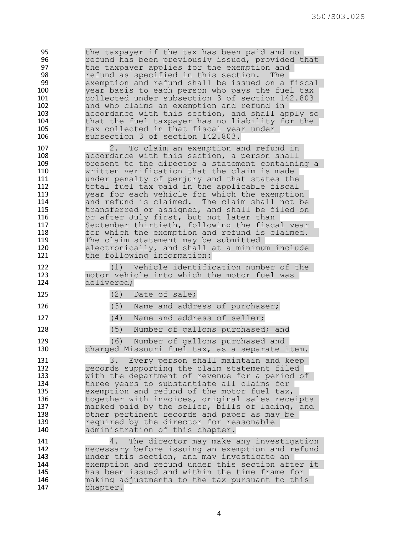95 the taxpayer if the tax has been paid and no<br>96 feelind has been previously issued, provided to 96 **1988** refund has been previously issued, provided that<br>97 the taxpayer applies for the exemption and 97 the taxpayer applies for the exemption and<br>98 Tefund as specified in this section. The 98 **98** refund as specified in this section. The<br>99 exemption and refund shall be issued on a 99 exemption and refund shall be issued on a fiscal<br>100 vear basis to each person who pays the fuel tax year basis to each person who pays the fuel tax 101 collected under subsection 3 of section 142.803 102 and who claims an exemption and refund in<br>103 accordance with this section, and shall an accordance with this section, and shall apply so 104 that the fuel taxpayer has no liability for the 105 tax collected in that fiscal year under 106 subsection 3 of section 142.803. 107 107 2. To claim an exemption and refund in<br>108 108 accordance with this section, a person shall 108 accordance with this section, a person shall present to the director a statement containing a 110 **b** written verification that the claim is made<br>111 **heading under penalty of periury and that states the** 111 11 under penalty of perjury and that states the<br>112 total fuel tax paid in the applicable fiscal total fuel tax paid in the applicable fiscal 113 year for each vehicle for which the exemption 114 and refund is claimed. The claim shall not be<br>115 transferred or assigned, and shall be filed on transferred or assigned, and shall be filed on 116 or after July first, but not later than 117 September thirtieth, following the fiscal year 118 for which the exemption and refund is claimed. 119 The claim statement may be submitted 120 electronically, and shall at a minimum include 121 the following information: 122 (1) Vehicle identification number of the<br>123 motor vehicle into which the motor fuel was motor vehicle into which the motor fuel was 124 delivered; 125 (2) Date of sale; 126 (3) Name and address of purchaser; 127 (4) Name and address of seller; 128 (5) Number of gallons purchased; and 129 (6) Number of gallons purchased and 130 charged Missouri fuel tax, as a separate item. 131 3. Every person shall maintain and keep 132 records supporting the claim statement filed<br>133 with the department of revenue for a period of 133 with the department of revenue for a period of<br>134 three years to substantiate all claims for 134 three years to substantiate all claims for 135 exemption and refund of the motor fuel tax,<br>136 together with invoices, original sales rece together with invoices, original sales receipts 137 marked paid by the seller, bills of lading, and 138 other pertinent records and paper as may be 139 189 required by the director for reasonable<br>140 140 administration of this chapter. administration of this chapter. 141 4. The director may make any investigation 142 mecessary before issuing an exemption and refund<br>143 munder this section, and may investigate an 143 **143** under this section, and may investigate an<br>144 exemption and refund under this section aff 144 exemption and refund under this section after it has been issued and within the time frame for 146 making adjustments to the tax pursuant to this 147 chapter.